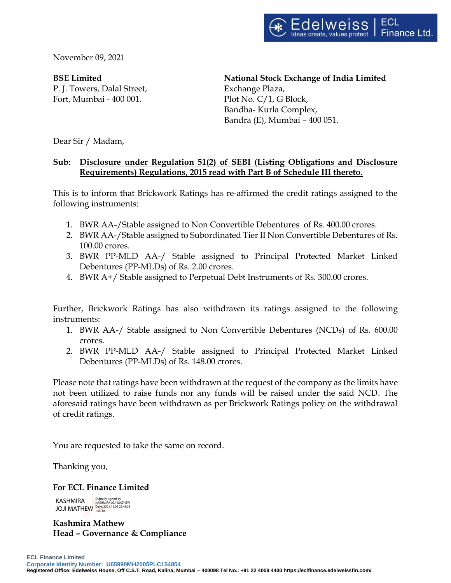November 09, 2021

**BSE Limited**

P. J. Towers, Dalal Street, Fort, Mumbai - 400 001.

**National Stock Exchange of India Limited** Exchange Plaza, Plot No. C/1, G Block, Bandha- Kurla Complex, Bandra (E), Mumbai – 400 051.

Dear Sir / Madam,

## **Sub: Disclosure under Regulation 51(2) of SEBI (Listing Obligations and Disclosure Requirements) Regulations, 2015 read with Part B of Schedule III thereto.**

This is to inform that Brickwork Ratings has re-affirmed the credit ratings assigned to the following instruments:

- 1. BWR AA-/Stable assigned to Non Convertible Debentures of Rs. 400.00 crores.
- 2. BWR AA-/Stable assigned to Subordinated Tier II Non Convertible Debentures of Rs. 100.00 crores.
- 3. BWR PP-MLD AA-/ Stable assigned to Principal Protected Market Linked Debentures (PP-MLDs) of Rs. 2.00 crores.
- 4. BWR A+/ Stable assigned to Perpetual Debt Instruments of Rs. 300.00 crores.

Further, Brickwork Ratings has also withdrawn its ratings assigned to the following instruments:

- 1. BWR AA-/ Stable assigned to Non Convertible Debentures (NCDs) of Rs. 600.00 crores.
- 2. BWR PP-MLD AA-/ Stable assigned to Principal Protected Market Linked Debentures (PP-MLDs) of Rs. 148.00 crores.

Please note that ratings have been withdrawn at the request of the company as the limits have not been utilized to raise funds nor any funds will be raised under the said NCD. The aforesaid ratings have been withdrawn as per Brickwork Ratings policy on the withdrawal of credit ratings.

You are requested to take the same on record.

Thanking you,

#### **For ECL Finance Limited**

KASHMIRA JOJI MATHEW **Date: 2021.11.09 22:48:38** Digitally signed by KASHMIRA JOJI MATHEW

**Kashmira Mathew Head – Governance & Compliance**